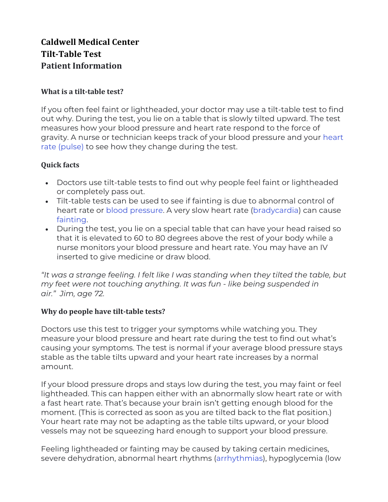# **Caldwell Medical Center Tilt-Table Test Patient Information**

#### **What is a tilt-table test?**

If you often feel faint or lightheaded, your doctor may use a tilt-table test to find out why. During the test, you lie on a table that is slowly tilted upward. The test measures how your blood pressure and heart rate respond to the force of gravity. A nurse or technician keeps track of your blood pressure and your heart rate (pulse) to see how they change during the test.

## **Quick facts**

- Doctors use tilt-table tests to find out why people feel faint or lightheaded or completely pass out.
- Tilt-table tests can be used to see if fainting is due to abnormal control of heart rate or blood pressure. A very slow heart rate (bradycardia) can cause fainting.
- During the test, you lie on a special table that can have your head raised so that it is elevated to 60 to 80 degrees above the rest of your body while a nurse monitors your blood pressure and heart rate. You may have an IV inserted to give medicine or draw blood.

*"It was a strange feeling. I felt like I was standing when they tilted the table, but my feet were not touching anything. It was fun - like being suspended in air." Jim, age 72.*

## **Why do people have tilt-table tests?**

Doctors use this test to trigger your symptoms while watching you. They measure your blood pressure and heart rate during the test to find out what's causing your symptoms. The test is normal if your average blood pressure stays stable as the table tilts upward and your heart rate increases by a normal amount.

If your blood pressure drops and stays low during the test, you may faint or feel lightheaded. This can happen either with an abnormally slow heart rate or with a fast heart rate. That's because your brain isn't getting enough blood for the moment. (This is corrected as soon as you are tilted back to the flat position.) Your heart rate may not be adapting as the table tilts upward, or your blood vessels may not be squeezing hard enough to support your blood pressure.

Feeling lightheaded or fainting may be caused by taking certain medicines, severe dehydration, abnormal heart rhythms (arrhythmias), hypoglycemia (low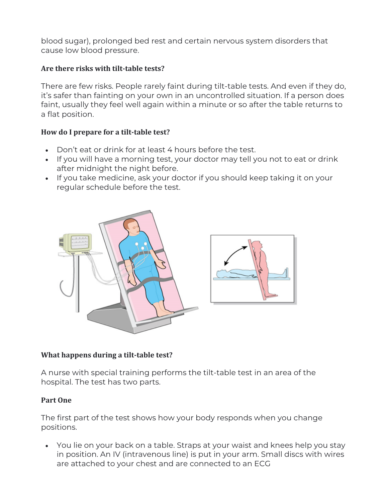blood sugar), prolonged bed rest and certain nervous system disorders that cause low blood pressure.

## Are there risks with tilt-table tests?

There are few risks. People rarely faint during tilt-table tests. And even if they do, it's safer than fainting on your own in an uncontrolled situation. If a person does faint, usually they feel well again within a minute or so after the table returns to a flat position.

## How do I prepare for a tilt-table test?

- Don't eat or drink for at least 4 hours before the test.
- If you will have a morning test, your doctor may tell you not to eat or drink after midnight the night before.
- If you take medicine, ask your doctor if you should keep taking it on your regular schedule before the test.



# **What happens during a tilt-table test?**

A nurse with special training performs the tilt-table test in an area of the hospital. The test has two parts.

## **Part One**

The first part of the test shows how your body responds when you change positions.

• You lie on your back on a table. Straps at your waist and knees help you stay in position. An IV (intravenous line) is put in your arm. Small discs with wires are attached to your chest and are connected to an ECG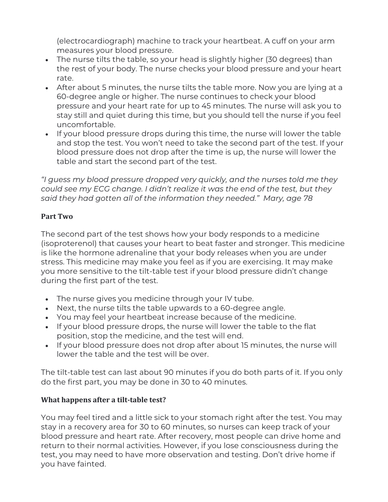(electrocardiograph) machine to track your heartbeat. A cuff on your arm measures your blood pressure.

- The nurse tilts the table, so your head is slightly higher (30 degrees) than the rest of your body. The nurse checks your blood pressure and your heart rate.
- After about 5 minutes, the nurse tilts the table more. Now you are lying at a 60-degree angle or higher. The nurse continues to check your blood pressure and your heart rate for up to 45 minutes. The nurse will ask you to stay still and quiet during this time, but you should tell the nurse if you feel uncomfortable.
- If your blood pressure drops during this time, the nurse will lower the table and stop the test. You won't need to take the second part of the test. If your blood pressure does not drop after the time is up, the nurse will lower the table and start the second part of the test.

*"I guess my blood pressure dropped very quickly, and the nurses told me they could see my ECG change. I didn't realize it was the end of the test, but they said they had gotten all of the information they needed." Mary, age 78*

## **Part Two**

The second part of the test shows how your body responds to a medicine (isoproterenol) that causes your heart to beat faster and stronger. This medicine is like the hormone adrenaline that your body releases when you are under stress. This medicine may make you feel as if you are exercising. It may make you more sensitive to the tilt-table test if your blood pressure didn't change during the first part of the test.

- The nurse gives you medicine through your IV tube.
- Next, the nurse tilts the table upwards to a 60-degree angle.
- You may feel your heartbeat increase because of the medicine.
- If your blood pressure drops, the nurse will lower the table to the flat position, stop the medicine, and the test will end.
- If your blood pressure does not drop after about 15 minutes, the nurse will lower the table and the test will be over.

The tilt-table test can last about 90 minutes if you do both parts of it. If you only do the first part, you may be done in 30 to 40 minutes.

# **What happens after a tilt-table test?**

You may feel tired and a little sick to your stomach right after the test. You may stay in a recovery area for 30 to 60 minutes, so nurses can keep track of your blood pressure and heart rate. After recovery, most people can drive home and return to their normal activities. However, if you lose consciousness during the test, you may need to have more observation and testing. Don't drive home if you have fainted.